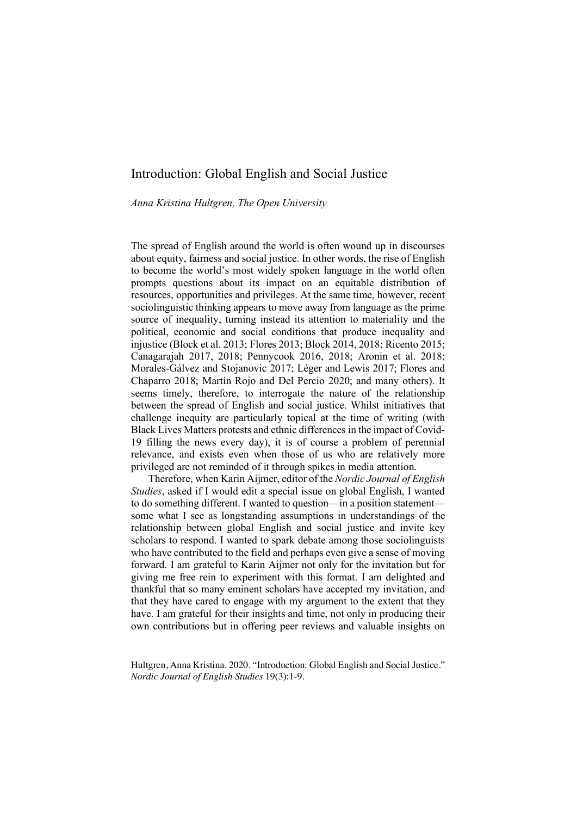# Introduction: Global English and Social Justice

*Anna Kristina Hultgren, The Open University*

The spread of English around the world is often wound up in discourses about equity, fairness and social justice. In other words, the rise of English to become the world's most widely spoken language in the world often prompts questions about its impact on an equitable distribution of resources, opportunities and privileges. At the same time, however, recent sociolinguistic thinking appears to move away from language as the prime source of inequality, turning instead its attention to materiality and the political, economic and social conditions that produce inequality and injustice (Block et al. 2013; Flores 2013; Block 2014, 2018; Ricento 2015; Canagarajah 2017, 2018; Pennycook 2016, 2018; Aronin et al. 2018; Morales-Gálvez and Stojanovic 2017; Léger and Lewis 2017; Flores and Chaparro 2018; Martín Rojo and Del Percio 2020; and many others). It seems timely, therefore, to interrogate the nature of the relationship between the spread of English and social justice. Whilst initiatives that challenge inequity are particularly topical at the time of writing (with Black Lives Matters protests and ethnic differences in the impact of Covid-19 filling the news every day), it is of course a problem of perennial relevance, and exists even when those of us who are relatively more privileged are not reminded of it through spikes in media attention.

Therefore, when Karin Aijmer, editor of the *Nordic Journal of English Studies*, asked if I would edit a special issue on global English, I wanted to do something different. I wanted to question—in a position statement some what I see as longstanding assumptions in understandings of the relationship between global English and social justice and invite key scholars to respond. I wanted to spark debate among those sociolinguists who have contributed to the field and perhaps even give a sense of moving forward. I am grateful to Karin Aijmer not only for the invitation but for giving me free rein to experiment with this format. I am delighted and thankful that so many eminent scholars have accepted my invitation, and that they have cared to engage with my argument to the extent that they have. I am grateful for their insights and time, not only in producing their own contributions but in offering peer reviews and valuable insights on

Hultgren, Anna Kristina. 2020. "Introduction: Global English and Social Justice." *Nordic Journal of English Studies* 19(3):1-9.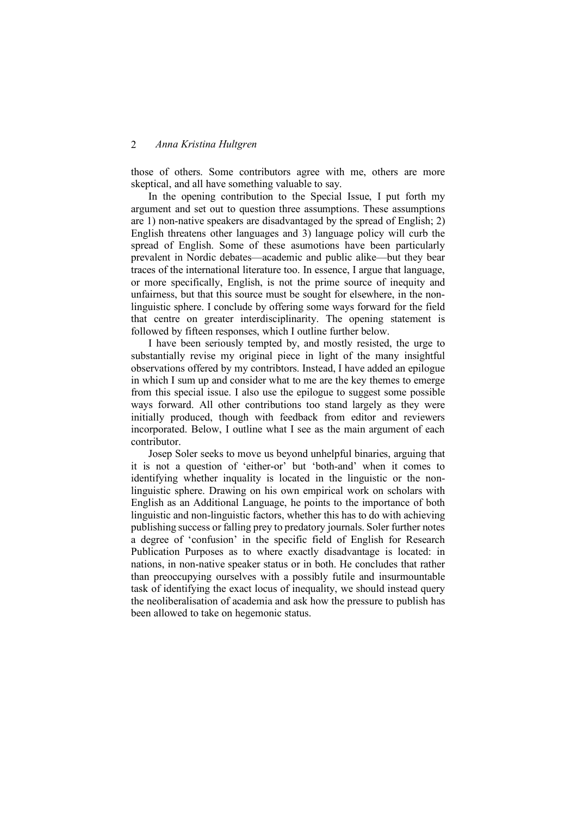those of others. Some contributors agree with me, others are more skeptical, and all have something valuable to say.

In the opening contribution to the Special Issue, I put forth my argument and set out to question three assumptions. These assumptions are 1) non-native speakers are disadvantaged by the spread of English; 2) English threatens other languages and 3) language policy will curb the spread of English. Some of these asumotions have been particularly prevalent in Nordic debates—academic and public alike—but they bear traces of the international literature too. In essence, I argue that language, or more specifically, English, is not the prime source of inequity and unfairness, but that this source must be sought for elsewhere, in the nonlinguistic sphere. I conclude by offering some ways forward for the field that centre on greater interdisciplinarity. The opening statement is followed by fifteen responses, which I outline further below.

I have been seriously tempted by, and mostly resisted, the urge to substantially revise my original piece in light of the many insightful observations offered by my contribtors. Instead, I have added an epilogue in which I sum up and consider what to me are the key themes to emerge from this special issue. I also use the epilogue to suggest some possible ways forward. All other contributions too stand largely as they were initially produced, though with feedback from editor and reviewers incorporated. Below, I outline what I see as the main argument of each contributor.

Josep Soler seeks to move us beyond unhelpful binaries, arguing that it is not a question of 'either-or' but 'both-and' when it comes to identifying whether inquality is located in the linguistic or the nonlinguistic sphere. Drawing on his own empirical work on scholars with English as an Additional Language, he points to the importance of both linguistic and non-linguistic factors, whether this has to do with achieving publishing success or falling prey to predatory journals. Soler further notes a degree of 'confusion' in the specific field of English for Research Publication Purposes as to where exactly disadvantage is located: in nations, in non-native speaker status or in both. He concludes that rather than preoccupying ourselves with a possibly futile and insurmountable task of identifying the exact locus of inequality, we should instead query the neoliberalisation of academia and ask how the pressure to publish has been allowed to take on hegemonic status.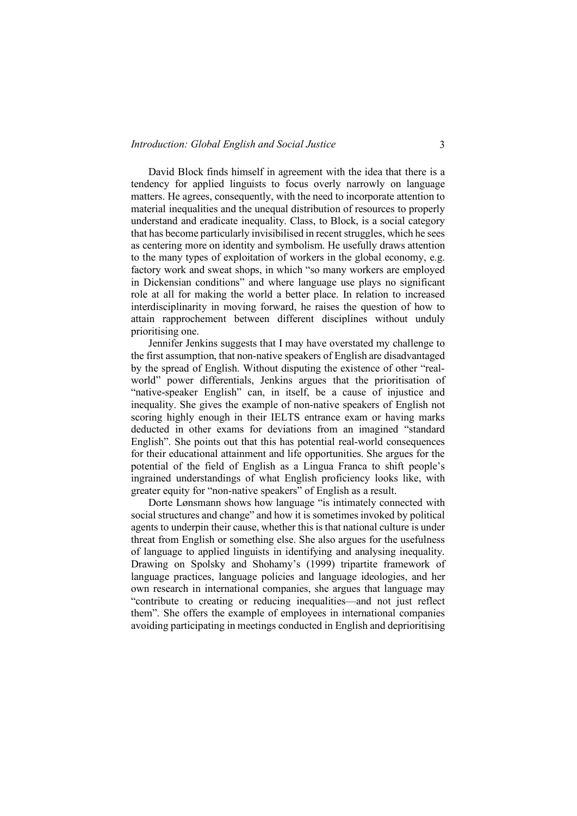David Block finds himself in agreement with the idea that there is a tendency for applied linguists to focus overly narrowly on language matters. He agrees, consequently, with the need to incorporate attention to material inequalities and the unequal distribution of resources to properly understand and eradicate inequality. Class, to Block, is a social category that has become particularly invisibilised in recent struggles, which he sees as centering more on identity and symbolism. He usefully draws attention to the many types of exploitation of workers in the global economy, e.g. factory work and sweat shops, in which "so many workers are employed in Dickensian conditions" and where language use plays no significant role at all for making the world a better place. In relation to increased interdisciplinarity in moving forward, he raises the question of how to attain rapprochement between different disciplines without unduly prioritising one.

Jennifer Jenkins suggests that I may have overstated my challenge to the first assumption, that non-native speakers of English are disadvantaged by the spread of English. Without disputing the existence of other "realworld" power differentials, Jenkins argues that the prioritisation of "native-speaker English" can, in itself, be a cause of injustice and inequality. She gives the example of non-native speakers of English not scoring highly enough in their IELTS entrance exam or having marks deducted in other exams for deviations from an imagined "standard English". She points out that this has potential real-world consequences for their educational attainment and life opportunities. She argues for the potential of the field of English as a Lingua Franca to shift people's ingrained understandings of what English proficiency looks like, with greater equity for "non-native speakers" of English as a result.

Dorte Lønsmann shows how language "is intimately connected with social structures and change" and how it is sometimes invoked by political agents to underpin their cause, whether this is that national culture is under threat from English or something else. She also argues for the usefulness of language to applied linguists in identifying and analysing inequality. Drawing on Spolsky and Shohamy's (1999) tripartite framework of language practices, language policies and language ideologies, and her own research in international companies, she argues that language may "contribute to creating or reducing inequalities—and not just reflect them". She offers the example of employees in international companies avoiding participating in meetings conducted in English and deprioritising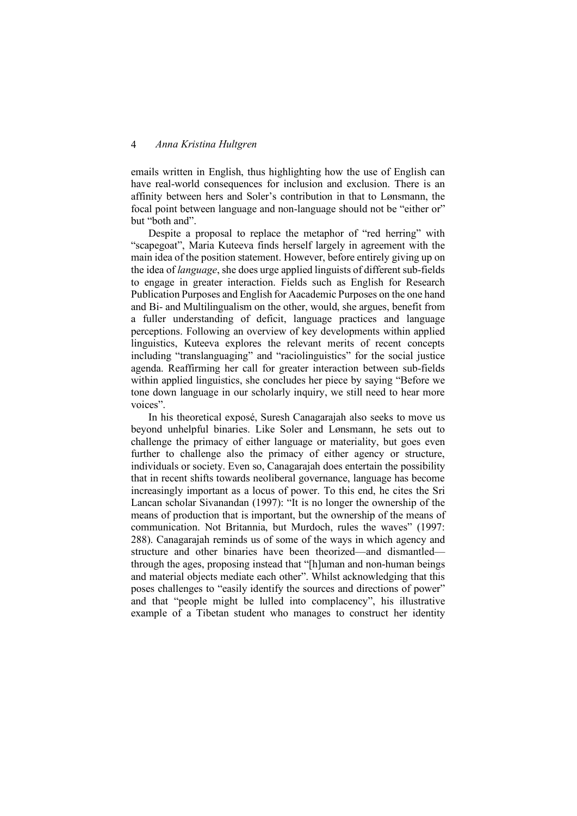emails written in English, thus highlighting how the use of English can have real-world consequences for inclusion and exclusion. There is an affinity between hers and Soler's contribution in that to Lønsmann, the focal point between language and non-language should not be "either or" but "both and".

Despite a proposal to replace the metaphor of "red herring" with "scapegoat", Maria Kuteeva finds herself largely in agreement with the main idea of the position statement. However, before entirely giving up on the idea of *language*, she does urge applied linguists of different sub-fields to engage in greater interaction. Fields such as English for Research Publication Purposes and English for Aacademic Purposes on the one hand and Bi- and Multilingualism on the other, would, she argues, benefit from a fuller understanding of deficit, language practices and language perceptions. Following an overview of key developments within applied linguistics, Kuteeva explores the relevant merits of recent concepts including "translanguaging" and "raciolinguistics" for the social justice agenda. Reaffirming her call for greater interaction between sub-fields within applied linguistics, she concludes her piece by saying "Before we tone down language in our scholarly inquiry, we still need to hear more voices".

In his theoretical exposé, Suresh Canagarajah also seeks to move us beyond unhelpful binaries. Like Soler and Lønsmann, he sets out to challenge the primacy of either language or materiality, but goes even further to challenge also the primacy of either agency or structure, individuals or society. Even so, Canagarajah does entertain the possibility that in recent shifts towards neoliberal governance, language has become increasingly important as a locus of power. To this end, he cites the Sri Lancan scholar Sivanandan (1997): "It is no longer the ownership of the means of production that is important, but the ownership of the means of communication. Not Britannia, but Murdoch, rules the waves" (1997: 288). Canagarajah reminds us of some of the ways in which agency and structure and other binaries have been theorized—and dismantled through the ages, proposing instead that "[h]uman and non-human beings and material objects mediate each other". Whilst acknowledging that this poses challenges to "easily identify the sources and directions of power" and that "people might be lulled into complacency", his illustrative example of a Tibetan student who manages to construct her identity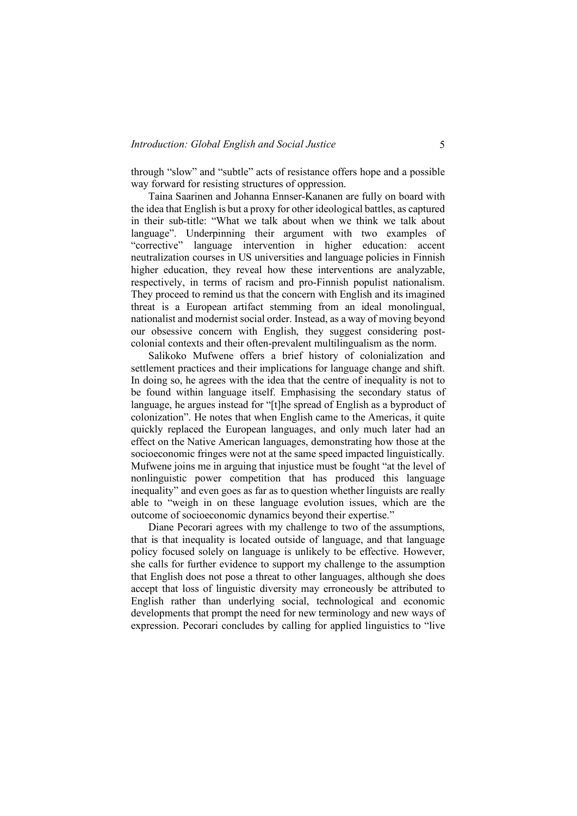through "slow" and "subtle" acts of resistance offers hope and a possible way forward for resisting structures of oppression.

Taina Saarinen and Johanna Ennser-Kananen are fully on board with the idea that English is but a proxy for other ideological battles, as captured in their sub-title: "What we talk about when we think we talk about language". Underpinning their argument with two examples of "corrective" language intervention in higher education: accent neutralization courses in US universities and language policies in Finnish higher education, they reveal how these interventions are analyzable, respectively, in terms of racism and pro-Finnish populist nationalism. They proceed to remind us that the concern with English and its imagined threat is a European artifact stemming from an ideal monolingual, nationalist and modernist social order. Instead, as a way of moving beyond our obsessive concern with English, they suggest considering postcolonial contexts and their often-prevalent multilingualism as the norm.

Salikoko Mufwene offers a brief history of colonialization and settlement practices and their implications for language change and shift. In doing so, he agrees with the idea that the centre of inequality is not to be found within language itself. Emphasising the secondary status of language, he argues instead for "[t]he spread of English as a byproduct of colonization". He notes that when English came to the Americas, it quite quickly replaced the European languages, and only much later had an effect on the Native American languages, demonstrating how those at the socioeconomic fringes were not at the same speed impacted linguistically. Mufwene joins me in arguing that injustice must be fought "at the level of nonlinguistic power competition that has produced this language inequality" and even goes as far as to question whether linguists are really able to "weigh in on these language evolution issues, which are the outcome of socioeconomic dynamics beyond their expertise."

Diane Pecorari agrees with my challenge to two of the assumptions, that is that inequality is located outside of language, and that language policy focused solely on language is unlikely to be effective. However, she calls for further evidence to support my challenge to the assumption that English does not pose a threat to other languages, although she does accept that loss of linguistic diversity may erroneously be attributed to English rather than underlying social, technological and economic developments that prompt the need for new terminology and new ways of expression. Pecorari concludes by calling for applied linguistics to "live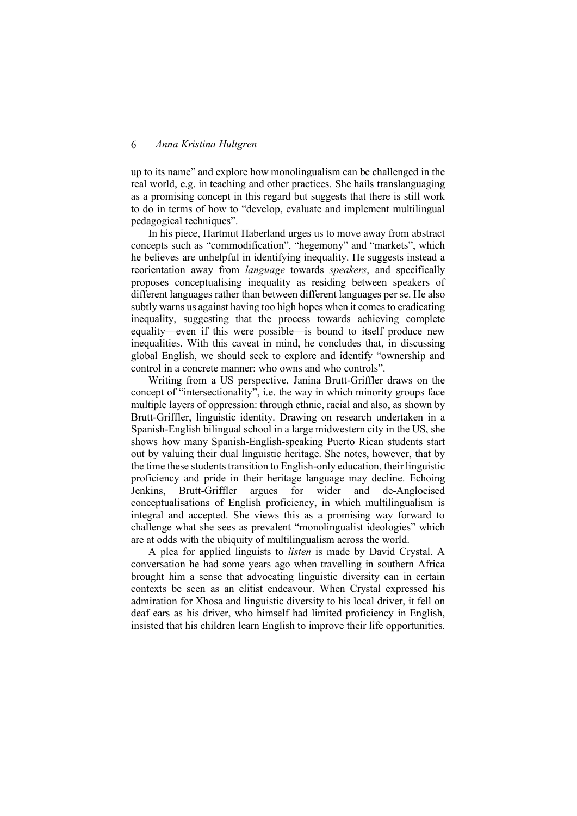up to its name" and explore how monolingualism can be challenged in the real world, e.g. in teaching and other practices. She hails translanguaging as a promising concept in this regard but suggests that there is still work to do in terms of how to "develop, evaluate and implement multilingual pedagogical techniques".

In his piece, Hartmut Haberland urges us to move away from abstract concepts such as "commodification", "hegemony" and "markets", which he believes are unhelpful in identifying inequality. He suggests instead a reorientation away from *language* towards *speakers*, and specifically proposes conceptualising inequality as residing between speakers of different languages rather than between different languages per se. He also subtly warns us against having too high hopes when it comes to eradicating inequality, suggesting that the process towards achieving complete equality—even if this were possible—is bound to itself produce new inequalities. With this caveat in mind, he concludes that, in discussing global English, we should seek to explore and identify "ownership and control in a concrete manner: who owns and who controls".

Writing from a US perspective, Janina Brutt-Griffler draws on the concept of "intersectionality", i.e. the way in which minority groups face multiple layers of oppression: through ethnic, racial and also, as shown by Brutt-Griffler, linguistic identity. Drawing on research undertaken in a Spanish-English bilingual school in a large midwestern city in the US, she shows how many Spanish-English-speaking Puerto Rican students start out by valuing their dual linguistic heritage. She notes, however, that by the time these students transition to English-only education, their linguistic proficiency and pride in their heritage language may decline. Echoing Jenkins, Brutt-Griffler argues for wider and de-Anglocised conceptualisations of English proficiency, in which multilingualism is integral and accepted. She views this as a promising way forward to challenge what she sees as prevalent "monolingualist ideologies" which are at odds with the ubiquity of multilingualism across the world.

A plea for applied linguists to *listen* is made by David Crystal. A conversation he had some years ago when travelling in southern Africa brought him a sense that advocating linguistic diversity can in certain contexts be seen as an elitist endeavour. When Crystal expressed his admiration for Xhosa and linguistic diversity to his local driver, it fell on deaf ears as his driver, who himself had limited proficiency in English, insisted that his children learn English to improve their life opportunities.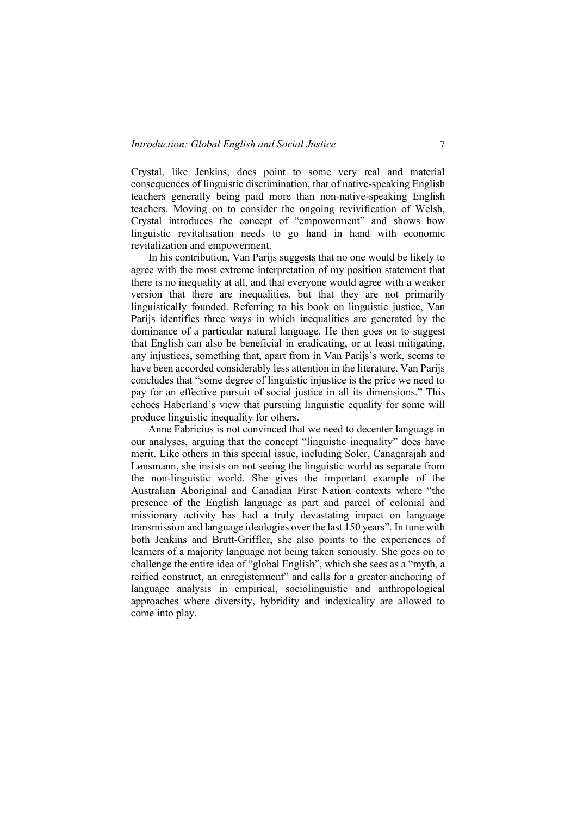Crystal, like Jenkins, does point to some very real and material consequences of linguistic discrimination, that of native-speaking English teachers generally being paid more than non-native-speaking English teachers. Moving on to consider the ongoing revivification of Welsh, Crystal introduces the concept of "empowerment" and shows how linguistic revitalisation needs to go hand in hand with economic revitalization and empowerment.

In his contribution, Van Parijs suggests that no one would be likely to agree with the most extreme interpretation of my position statement that there is no inequality at all, and that everyone would agree with a weaker version that there are inequalities, but that they are not primarily linguistically founded. Referring to his book on linguistic justice, Van Parijs identifies three ways in which inequalities are generated by the dominance of a particular natural language. He then goes on to suggest that English can also be beneficial in eradicating, or at least mitigating, any injustices, something that, apart from in Van Parijs's work, seems to have been accorded considerably less attention in the literature. Van Parijs concludes that "some degree of linguistic injustice is the price we need to pay for an effective pursuit of social justice in all its dimensions." This echoes Haberland's view that pursuing linguistic equality for some will produce linguistic inequality for others.

Anne Fabricius is not convinced that we need to decenter language in our analyses, arguing that the concept "linguistic inequality" does have merit. Like others in this special issue, including Soler, Canagarajah and Lønsmann, she insists on not seeing the linguistic world as separate from the non-linguistic world. She gives the important example of the Australian Aboriginal and Canadian First Nation contexts where "the presence of the English language as part and parcel of colonial and missionary activity has had a truly devastating impact on language transmission and language ideologies over the last 150 years". In tune with both Jenkins and Brutt-Griffler, she also points to the experiences of learners of a majority language not being taken seriously. She goes on to challenge the entire idea of "global English", which she sees as a "myth, a reified construct, an enregisterment" and calls for a greater anchoring of language analysis in empirical, sociolinguistic and anthropological approaches where diversity, hybridity and indexicality are allowed to come into play.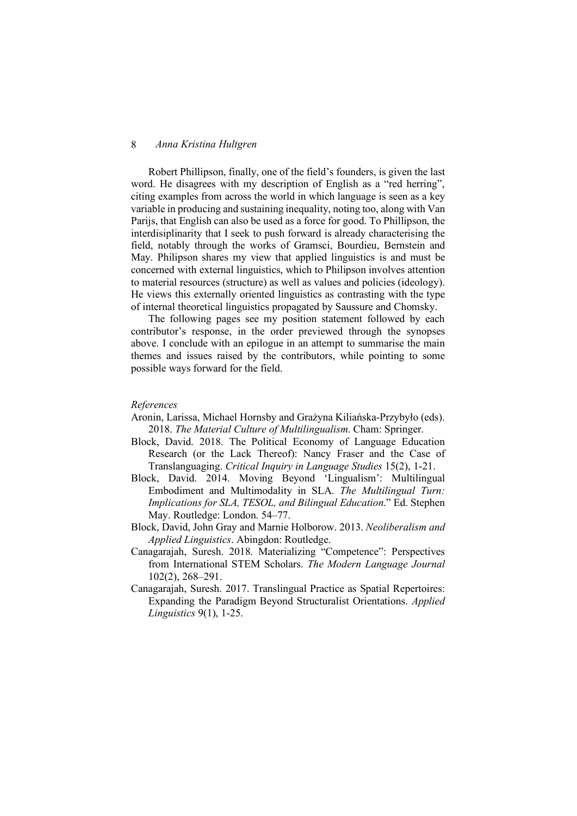Robert Phillipson, finally, one of the field's founders, is given the last word. He disagrees with my description of English as a "red herring", citing examples from across the world in which language is seen as a key variable in producing and sustaining inequality, noting too, along with Van Parijs, that English can also be used as a force for good. To Phillipson, the interdisiplinarity that I seek to push forward is already characterising the field, notably through the works of Gramsci, Bourdieu, Bernstein and May. Philipson shares my view that applied linguistics is and must be concerned with external linguistics, which to Philipson involves attention to material resources (structure) as well as values and policies (ideology). He views this externally oriented linguistics as contrasting with the type of internal theoretical linguistics propagated by Saussure and Chomsky.

The following pages see my position statement followed by each contributor's response, in the order previewed through the synopses above. I conclude with an epilogue in an attempt to summarise the main themes and issues raised by the contributors, while pointing to some possible ways forward for the field.

#### *References*

- Aronin, Larissa, Michael Hornsby and Grażyna Kiliańska-Przybyło (eds). 2018. *The Material Culture of Multilingualism*. Cham: Springer.
- Block, David. 2018. The Political Economy of Language Education Research (or the Lack Thereof): Nancy Fraser and the Case of Translanguaging. *Critical Inquiry in Language Studies* 15(2), 1-21.
- Block, David. 2014. Moving Beyond 'Lingualism': Multilingual Embodiment and Multimodality in SLA. *The Multilingual Turn: Implications for SLA, TESOL, and Bilingual Education*." Ed. Stephen May. Routledge: London. 54–77.
- Block, David, John Gray and Marnie Holborow. 2013. *Neoliberalism and Applied Linguistics*. Abingdon: Routledge.
- Canagarajah, Suresh. 2018. Materializing "Competence": Perspectives from International STEM Scholars. *The Modern Language Journal* 102(2), 268–291.
- Canagarajah, Suresh. 2017. Translingual Practice as Spatial Repertoires: Expanding the Paradigm Beyond Structuralist Orientations. *Applied Linguistics* 9(1), 1-25.